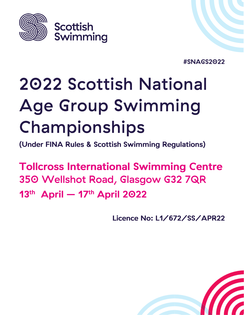

#SNAGS2022

# 2022 Scottish National **Age Group Swimming** Championships

(Under FINA Rules & Scottish Swimming Regulations)

**Tollcross International Swimming Centre** 350 Wellshot Road, Glasgow G32 7QR  $13<sup>th</sup>$  April -  $17<sup>th</sup>$  April 2022

Licence No: L1/672/SS/APR22

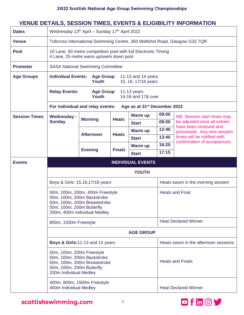# **VENUE DETAILS, SESSION TIMES, EVENTS & ELIGIBILITY INFORMATION**

| <b>Dates</b>         | Wednesday 13 <sup>th</sup> April - Sunday 17 <sup>th</sup> April 2022                                          |                                                                                                            |               |                                          |       |                                                             |  |  |  |
|----------------------|----------------------------------------------------------------------------------------------------------------|------------------------------------------------------------------------------------------------------------|---------------|------------------------------------------|-------|-------------------------------------------------------------|--|--|--|
| <b>Venue</b>         | Tollcross International Swimming Centre, 350 Wellshot Road, Glasgow G32 7QR                                    |                                                                                                            |               |                                          |       |                                                             |  |  |  |
| <b>Pool</b>          |                                                                                                                | 10 Lane, 50 metre competition pool with full Electronic Timing<br>4 Lane, 25 metre warm up/swim down pool  |               |                                          |       |                                                             |  |  |  |
| <b>Promoter</b>      |                                                                                                                | <b>SASA National Swimming Committee</b>                                                                    |               |                                          |       |                                                             |  |  |  |
| <b>Age Groups</b>    |                                                                                                                | <b>Individual Events:</b><br><b>Age Group</b><br>11-13 and 14 years<br><b>Youth</b><br>15, 16, 17/18 years |               |                                          |       |                                                             |  |  |  |
|                      | <b>Relay Events:</b><br><b>Age Group</b><br>$11-13$ years<br>14-16 and 17& over<br>Youth                       |                                                                                                            |               |                                          |       |                                                             |  |  |  |
|                      |                                                                                                                | For individual and relay events:                                                                           |               | Age as at 31 <sup>st</sup> December 2022 |       |                                                             |  |  |  |
| <b>Session Times</b> | <b>Wednesday -</b>                                                                                             | <b>Morning</b>                                                                                             | <b>Heats</b>  | Warm up                                  | 08:00 | NB. Session start times may                                 |  |  |  |
|                      | <b>Sunday</b>                                                                                                  |                                                                                                            |               | <b>Start</b>                             | 09:00 | be adjusted once all entries<br>have been received and      |  |  |  |
|                      |                                                                                                                | <b>Afternoon</b>                                                                                           | <b>Heats</b>  | Warm up                                  | 12:40 | processed. Any new session                                  |  |  |  |
|                      |                                                                                                                |                                                                                                            |               | <b>Start</b>                             | 13:40 | times will be notified with<br>confirmation of acceptances. |  |  |  |
|                      |                                                                                                                | <b>Evening</b>                                                                                             | <b>Finals</b> | Warm up                                  | 16:25 |                                                             |  |  |  |
|                      |                                                                                                                |                                                                                                            |               | <b>Start</b>                             | 17:15 |                                                             |  |  |  |
| <b>Events</b>        |                                                                                                                |                                                                                                            |               | <b>INDIVIDUAL EVENTS</b>                 |       |                                                             |  |  |  |
|                      | YOUTH                                                                                                          |                                                                                                            |               |                                          |       |                                                             |  |  |  |
|                      |                                                                                                                |                                                                                                            |               |                                          |       |                                                             |  |  |  |
|                      |                                                                                                                | Boys & Girls: 15,16,17/18 years                                                                            |               |                                          |       | Heats swum in the morning session                           |  |  |  |
|                      | 50m, 100m, 200m Backstroke<br>50m, 100m, 200m Butterfly                                                        | 50m, 100m, 200m, 400m Freestyle<br>50m, 100m, 200m Breaststroke<br>200m, 400m Individual Medley            |               |                                          |       | <b>Heats and Final</b>                                      |  |  |  |
|                      | 800m, 1500m Freestyle                                                                                          |                                                                                                            |               |                                          |       | <b>Heat Declared Winner</b>                                 |  |  |  |
|                      |                                                                                                                |                                                                                                            |               | <b>AGE GROUP</b>                         |       |                                                             |  |  |  |
|                      |                                                                                                                | Boys & Girls: 11-13 and 14 years                                                                           |               |                                          |       | Heats swum in the afternoon sessions                        |  |  |  |
|                      | 50m, 100m, 200m Freestyle<br>50m, 100m, 200m Backstroke<br>50m, 100m, 200m Butterfly<br>200m Individual Medley | 50m, 100m, 200m Breaststroke                                                                               |               |                                          |       | <b>Heats and Finals</b>                                     |  |  |  |

scottishswimming.com

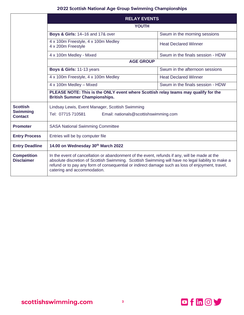|                                         | <b>RELAY EVENTS</b>                                                                                                                                                                                                                                                                                                                    |                                  |  |  |  |  |  |  |  |
|-----------------------------------------|----------------------------------------------------------------------------------------------------------------------------------------------------------------------------------------------------------------------------------------------------------------------------------------------------------------------------------------|----------------------------------|--|--|--|--|--|--|--|
|                                         | <b>YOUTH</b>                                                                                                                                                                                                                                                                                                                           |                                  |  |  |  |  |  |  |  |
|                                         | <b>Boys &amp; Girls: 14-16 and 17&amp; over</b>                                                                                                                                                                                                                                                                                        | Swum in the morning sessions     |  |  |  |  |  |  |  |
|                                         | 4 x 100m Freestyle, 4 x 100m Medley<br>4 x 200m Freestyle                                                                                                                                                                                                                                                                              | <b>Heat Declared Winner</b>      |  |  |  |  |  |  |  |
|                                         | 4 x 100m Medley - Mixed                                                                                                                                                                                                                                                                                                                | Swum in the finals session - HDW |  |  |  |  |  |  |  |
|                                         | <b>AGE GROUP</b>                                                                                                                                                                                                                                                                                                                       |                                  |  |  |  |  |  |  |  |
|                                         | Boys & Girls: 11-13 years                                                                                                                                                                                                                                                                                                              | Swum in the afternoon sessions   |  |  |  |  |  |  |  |
|                                         | 4 x 100m Freestyle, 4 x 100m Medley                                                                                                                                                                                                                                                                                                    | <b>Heat Declared Winner</b>      |  |  |  |  |  |  |  |
|                                         | 4 x 100m Medley - Mixed<br>Swum in the finals session - HDW                                                                                                                                                                                                                                                                            |                                  |  |  |  |  |  |  |  |
|                                         | PLEASE NOTE: This is the ONLY event where Scottish relay teams may qualify for the<br><b>British Summer Championships.</b>                                                                                                                                                                                                             |                                  |  |  |  |  |  |  |  |
| <b>Scottish</b>                         | Lindsay Lewis, Event Manager, Scottish Swimming                                                                                                                                                                                                                                                                                        |                                  |  |  |  |  |  |  |  |
| <b>Swimming</b><br><b>Contact</b>       | Tel: 07715 710581<br>Email: nationals@scottishswimming.com                                                                                                                                                                                                                                                                             |                                  |  |  |  |  |  |  |  |
| <b>Promoter</b>                         | <b>SASA National Swimming Committee</b>                                                                                                                                                                                                                                                                                                |                                  |  |  |  |  |  |  |  |
| <b>Entry Process</b>                    | Entries will be by computer file                                                                                                                                                                                                                                                                                                       |                                  |  |  |  |  |  |  |  |
| <b>Entry Deadline</b>                   | 14.00 on Wednesday 30th March 2022                                                                                                                                                                                                                                                                                                     |                                  |  |  |  |  |  |  |  |
| <b>Competition</b><br><b>Disclaimer</b> | In the event of cancellation or abandonment of the event, refunds if any, will be made at the<br>absolute discretion of Scottish Swimming. Scottish Swimming will have no legal liability to make a<br>refund or to pay any form of consequential or indirect damage such as loss of enjoyment, travel,<br>catering and accommodation. |                                  |  |  |  |  |  |  |  |

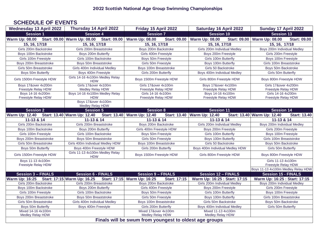### **SCHEDULE OF EVENTS**

| <b>Wednesday 13 April 2022</b>                                      | Thursday 14 April 2022<br>Friday 15 April 2022 |                                                                            | <b>Saturday 16 April 2022</b>                                 | Sunday 17 April 2022                                         |  |  |
|---------------------------------------------------------------------|------------------------------------------------|----------------------------------------------------------------------------|---------------------------------------------------------------|--------------------------------------------------------------|--|--|
| <b>Session 1</b>                                                    | <b>Session 4</b>                               | <b>Session 7</b>                                                           | <b>Session 10</b>                                             | <b>Session 13</b>                                            |  |  |
| <b>Warm Up: 08.00</b>                                               | Start: 09.00 Warm Up: 08.00 Start: 09.00       | <b>Warm Up: 08.00</b><br><b>Start: 09.00</b>                               | <b>Warm Up: 08.00</b><br><b>Start: 09.00</b>                  | <b>Warm Up: 08.00</b><br><b>Start: 09.00</b>                 |  |  |
| 15, 16, 17/18                                                       | 15, 16, 17/18                                  | 15, 16, 17/18                                                              | 15, 16, 17/18                                                 | 15, 16, 17/18                                                |  |  |
| Girls 200m Backstroke                                               | Girls 200m Breaststroke                        | Boys 200m Backstroke                                                       | Girls 200m Individual Medley                                  | Boys 200m Individual Medley                                  |  |  |
| Boys 100m Backstroke                                                | Boys 200m Butterfly                            | Girls 400m Freestyle                                                       | Boys 200m Freestyle                                           | Girls 200m Freestyle                                         |  |  |
| Girls 100m Freestyle                                                | Girls 100m Backstroke                          | Boys 50m Freestyle                                                         | Girls 100m Butterfly                                          | Boys 100m Freestyle                                          |  |  |
| Boys 200m Breaststroke                                              | Boys 50m Breaststroke                          | Girls 50m Freestyle                                                        | Boys 100m Butterfly                                           | Girls 100m Breaststroke                                      |  |  |
| Girls 50m Breaststroke                                              | Girls 400m Individual Medley                   | Boys 100m Breaststroke                                                     | Girls 50 Backstroke                                           | Boys 50m Backstroke                                          |  |  |
| Boys 50m Butterfly                                                  | Boys 400m Freestyle                            | Girls 200m Butterfly                                                       | Boys 400m Individual Medley                                   | Girls 50m Butterfly                                          |  |  |
| Girls 1500m Freestyle HDW                                           | Girls 14-16 4x100m Medley Relay<br><b>HDW</b>  | Boys 1500m Freestyle HDW                                                   | Girls 800m Freestyle HDW                                      | Boys 800m Freestyle HDW                                      |  |  |
| Boys 17&over 4x200m                                                 | Girls 17&over 4x100m                           | Girls 17&over 4x100m                                                       | Boys 17&over 4x100m                                           | Girls 17&over 4x200m                                         |  |  |
| <b>Freestyle Relay HDW</b>                                          | <b>Medley Relay HDW</b>                        | Freestyle Relay HDW                                                        | Freestyle Relay HDW                                           | <b>Freestyle Relay HDW</b>                                   |  |  |
| Boys 14-16 4x200m                                                   | Boys 14-16 4x100m Medley Relay                 | Girls 14-16 4x100m                                                         | Boys 14-16 4x100m                                             | Girls 14-16 4x200m                                           |  |  |
| <b>Freestyle Relay HDW</b>                                          | <b>HDW</b><br>Boys 17&over 4x100m              | <b>Freestyle Relay HDW</b>                                                 | <b>Freestyle Relay HDW</b>                                    | Freestyle Relay HDW                                          |  |  |
|                                                                     | Medley Relay HDW                               |                                                                            |                                                               |                                                              |  |  |
| <b>Session 2</b>                                                    | <b>Session 5</b>                               | <b>Session 8</b>                                                           | <b>Session 11</b>                                             | Session 14                                                   |  |  |
| Warm Up: 12.40 Start: 13.40 Warm Up: 12.40                          |                                                | Start: 13.40 Warm Up: 12.40                                                | Start: 13.40   Warm Up: 12.40                                 | Start: 13.40 Warm Up: 12.40<br><b>Start: 13.40</b>           |  |  |
| 11-13 & 14                                                          | 11-13 & 14                                     | 11-13 & 14                                                                 | 11-13 & 14                                                    | 11-13 & 14                                                   |  |  |
| Girls 200m Backstroke                                               | Girls 200m Breaststroke                        | Boys 200m Backstroke                                                       | Girls 200m Individual Medley                                  | Boys 200m Individual Medley                                  |  |  |
| Boys 100m Backstroke                                                | Boys 200m Butterfly                            | Girls 400m Freestyle HDW                                                   | Boys 200m Freestyle                                           | Girls 200m Freestyle                                         |  |  |
| Girls 100m Freestyle                                                | Girls 100m Backstroke                          | Boys 50m Freestyle                                                         | Girls 100m Butterfly                                          | Boys 100m Freestyle                                          |  |  |
| Boys 200m Breaststroke                                              | Boys 50m Breaststroke                          | Girls 50m Freestyle                                                        | Boys 100m Butterfly                                           | Girls 100m Breaststroke                                      |  |  |
| Girls 50m Breaststroke                                              | Girls 400m Individual Medley HDW               | Boys 100m Breaststroke                                                     | Girls 50 Backstroke                                           | Boys 50m Backstroke                                          |  |  |
| Boys 50m Butterfly                                                  | Boys 400m Freestyle HDW                        | Girls 200m Butterfly                                                       | Boys 400m Individual Medley HDW                               | Girls 50m Butterfly                                          |  |  |
| Girls 1500m Freestyle HDW                                           | Girls 11-13 4x100m Medley Relay<br><b>HDW</b>  | Boys 1500m Freestyle HDW                                                   | Girls 800m Freestyle HDW                                      | Boys 800m Freestyle HDW                                      |  |  |
| Boys 11-13 4x100m                                                   |                                                |                                                                            |                                                               | Girls 11-13 4x100m                                           |  |  |
| Freestyle Relay HDW                                                 |                                                |                                                                            |                                                               | Freestyle Relay HDW                                          |  |  |
|                                                                     |                                                |                                                                            |                                                               | Boys 11-13 4x100m Medley Relay HDW                           |  |  |
| <b>Session 3 - FINALS</b>                                           | <b>Session 6 - FINALS</b>                      | <b>Session 9 - FINALS</b>                                                  | <b>Session 12 - FINALS</b>                                    | <b>Session 15 - FINALS</b>                                   |  |  |
| Warm Up: 16:25 Start: 17:15 Warm Up: 16.25<br>Girls 200m Backstroke | Girls 200m Breaststroke                        | Start: 17:15 Warm Up: 16:25<br><b>Start: 17:15</b><br>Boys 200m Backstroke | Warm Up: 16:25 : Start: 17:15<br>Girls 200m Individual Medley | Warm Up: 16:25 : Start: 17:15<br>Boys 200m Individual Medley |  |  |
| Boys 100m Backstroke                                                | Boys 200m Butterfly                            | Girls 400m Freestyle                                                       | Boys 200m Freestyle                                           | Girls 200m Freestyle                                         |  |  |
| Girls 100m Freestyle                                                | Girls 100m Backstroke                          | Boys 50m Freestyle                                                         | Girls 100m Butterfly                                          | Boys 100m Freestyle                                          |  |  |
| Boys 200m Breaststroke                                              | Boys 50m Breaststroke                          | Girls 50m Freestyle                                                        | Boys 100m Butterfly                                           | Girls 100m Breaststroke                                      |  |  |
| Girls 50m Breaststroke                                              | Girls 400m Individual Medley                   | Boys 100m Breaststroke                                                     | Girls 50m Backstroke                                          | Boys 50m Backstroke                                          |  |  |
| Boys 50m Butterfly                                                  | Boys 400m Freestyle                            | Girls 200m Butterfly                                                       | Boys 400m Individual Medley                                   | Girls 50m Butterfly                                          |  |  |
| Mixed 14-16 4x100m                                                  |                                                | Mixed 17&over 4x100m                                                       | Mixed 11-13 4x100m                                            |                                                              |  |  |
| Medley Relay HDW                                                    |                                                | Medley Relay HDW                                                           | Medley Relay HDW                                              |                                                              |  |  |
|                                                                     |                                                | Finals will be swum from youngest to oldest age groups                     |                                                               |                                                              |  |  |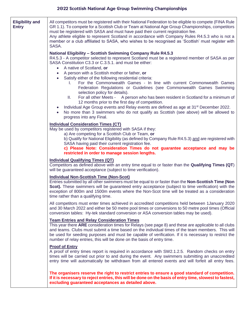| <b>Eligibility and</b><br><b>Entry</b> | All competitors must be registered with their National Federation to be eligible to compete (FINA Rule<br>GR 1.1). To compete for a Scottish Club or Team at National Age Group Championships, competitors<br>must be registered with SASA and must have paid their current registration fee.<br>Any athlete eligible to represent Scotland in accordance with Company Rules R4.5.3 who is not a<br>member or a club affiliated to SASA, who wishes to be recognised as 'Scottish' must register with<br>SASA.                                                                                         |  |  |  |  |  |  |
|----------------------------------------|--------------------------------------------------------------------------------------------------------------------------------------------------------------------------------------------------------------------------------------------------------------------------------------------------------------------------------------------------------------------------------------------------------------------------------------------------------------------------------------------------------------------------------------------------------------------------------------------------------|--|--|--|--|--|--|
|                                        | <b>National Eligibility - Scottish Swimming Company Rule R4.5.3</b><br>R4.5.3 - A competitor selected to represent Scotland must be a registered member of SASA as per<br>SASA Constitution C3.3 or C.3.5.1. and must be either:<br>A native of Scotland, or<br>$\bullet$<br>A person with a Scottish mother or father, or<br>$\bullet$<br>Satisfy either of the following residential criteria:<br>$\bullet$<br>For the Commonwealth Games - In line with current Commonwealth Games<br>L.<br>Federation Regulations or Guidelines (see Commonwealth Games Swimming<br>selection policy for details). |  |  |  |  |  |  |
|                                        | For all other Meets - A person who has been resident in Scotland for a minimum of<br>Ш.<br>12 months prior to the first day of competition.<br>Individual Age Group events and Relay events are defined as age at 31 <sup>st</sup> December 2022.<br>$\bullet$<br>No more than 3 swimmers who do not qualify as Scottish (see above) will be allowed to<br>progress into any Final.                                                                                                                                                                                                                    |  |  |  |  |  |  |
|                                        | <b>Individual Consideration Times (CT)</b><br>May be used by competitors registered with SASA if they:<br>a) Are competing for a Scottish Club or Team, or<br>b) Qualify for National Eligibility (as defined by Company Rule R4.5.3) and are registered with<br>SASA having paid their current registration fee.<br>c) Please Note: Consideration Times do not guarantee acceptance and may be<br>restricted in order to manage session lengths.                                                                                                                                                      |  |  |  |  |  |  |
|                                        | <b>Individual Qualifying Times (QT)</b><br>Competitors as defined above with an entry time equal to or faster than the Qualifying Times (QT)<br>will be guaranteed acceptance (subject to time verification).                                                                                                                                                                                                                                                                                                                                                                                          |  |  |  |  |  |  |
|                                        | <b>Individual Non-Scottish Time (Non-Scot)</b><br>Entries submitted by all other swimmers must be equal to or faster than the Non-Scottish Time (Non<br>Scot). These swimmers will be guaranteed entry acceptance (subject to time verification) with the<br>exception of 800m and 1500m events where the Non-Scot time will be treated as a consideration<br>time rather than a qualifying time.                                                                                                                                                                                                      |  |  |  |  |  |  |
|                                        | All competitors must enter times achieved in accredited competitions held between 1 January 2020<br>and 30 March 2022 and either be 50 metre pool times or conversions to 50 metre pool times (Official<br>conversion tables: Hy-tek standard conversion or ASA conversion tables may be used).                                                                                                                                                                                                                                                                                                        |  |  |  |  |  |  |
|                                        | <b>Team Entries and Relay Consideration Times</b><br>This year there ARE consideration times for Relays (see page 8) and these are applicable to all clubs<br>and teams. Clubs must submit a time based on the individual times of the team members. This will<br>be used for seeding purposes and must be capable of verification. If it is necessary to restrict the<br>number of relay entries, this will be done on the basis of entry time.                                                                                                                                                       |  |  |  |  |  |  |
|                                        | <b>Proof of Entry</b><br>A proof of entry times report is required in accordance with SW2.1.2.5. Random checks on entry<br>times will be carried out prior to and during the event. Any swimmers submitting an unaccredited<br>entry time will automatically be withdrawn from all entered events and will forfeit all entry fees.                                                                                                                                                                                                                                                                     |  |  |  |  |  |  |
|                                        | The organisers reserve the right to restrict entries to ensure a good standard of competition.<br>If it is necessary to reject entries, this will be done on the basis of entry time, slowest to fastest,<br>excluding guaranteed acceptances as detailed above.                                                                                                                                                                                                                                                                                                                                       |  |  |  |  |  |  |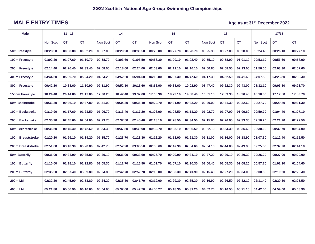## **MALE ENTRY TIMES Age as at 31<sup>st</sup> December 2022**

| <b>Male</b>             | $11 - 13$ |          |           | 14       |          | 15        |          | 16       |           |          | 17/18    |           |          |          |           |
|-------------------------|-----------|----------|-----------|----------|----------|-----------|----------|----------|-----------|----------|----------|-----------|----------|----------|-----------|
|                         | Non Scot  | QT       | <b>CT</b> | Non Scot | QT       | <b>CT</b> | Non Scot | QT       | <b>CT</b> | Non Scot | QT       | <b>CT</b> | Non Scot | QT       | <b>CT</b> |
| 50m Freestyle           | 00:28.50  | 00:30.80 | 00:32.20  | 00:27.00 | 00:29.20 | 00:30.50  | 00:26.00 | 00:27.70 | 00:28.70  | 00:25.30 | 00:27.00 | 00:28.00  | 00:24.40 | 00:26.10 | 00:27.10  |
| 100m Freestyle          | 01:02.20  | 01:07.60 | 01:10.70  | 00:58.70 | 01:03.60 | 01:06.50  | 00:56.30 | 01:00.10 | 01:02.40  | 00:55.10 | 00:58.90 | 01:01.10  | 00:53.10 | 00:56.60 | 00:58.90  |
| 200m Freestyle          | 02:14.40  | 02:26.40 | 02:33.40  | 02:08.00 | 02:18.00 | 02:24.00  | 02:03.00 | 02:11.10 | 02:16.10  | 02:00.80 | 02:08.50 | 02:13.00  | 01:56.00 | 02:03.30 | 02:07.60  |
| 400m Freestyle          | 04:44.50  | 05:09.70 | 05:24.20  | 04:24.20 | 04:52.20 | 05:04.50  | 04:19.80 | 04:37.30 | 04:47.60  | 04:17.30 | 04:32.50 | 04:41.60  | 04:07.80 | 04:23.30 | 04:32.40  |
| 800m Freestyle          | 09:42.20  | 10:38.60 | 11:10.90  | 09:11.90 | 09:52.10 | 10:15.60  | 08:56.90 | 09:38.60 | 10:02.90  | 08:47.40 | 09:22.30 | 09:43.00  | 08:32.10 | 09:03.80 | 09:23.70  |
| 1500m Freestyle         | 18:24.40  | 20:14.80 | 21:17.80  | 17:30.20 | 18:47.40 | 19:32.60  | 17:05.30 | 18:23.10 | 19:08.40  | 16:51.10 | 17:53.30 | 18:30.40  | 16:16.80 | 17:17.50 | 17:53.70  |
| <b>50m Backstroke</b>   | 00:33.30  | 00:36.10 | 00:37.80  | 00:31.00 | 00:34.30 | 00:36.10  | 00:29.70 | 00:31.90 | 00:33.20  | 00:29.00 | 00:31.30 | 00:32.60  | 00:27.70 | 00:29.80 | 00:31.30  |
| 100m Backstroke         | 01:10.90  | 01:17.60 | 01:21.50  | 01:06.70 | 01:13.40 | 01:17.20  | 01:03.90 | 01:08.50 | 01:11.20  | 01:02.70 | 01:07.00 | 01:09.60  | 00:59.70 | 01:04.40 | 01:07.10  |
| 200m Backstroke         | 02:30.90  | 02:45.60 | 02:54.00  | 02:23.70 | 02:37.50 | 02:45.40  | 02:18.10 | 02:28.50 | 02:34.50  | 02:15.80 | 02:26.90 | 02:33.30  | 02:10.20 | 02:21.20 | 02:27.50  |
| <b>50m Breaststroke</b> | 00:36.50  | 00:40.40 | 00:42.60  | 00:34.30 | 00:37.80 | 00:39.90  | 00:32.70 | 00:35.10 | 00:36.50  | 00:32.10 | 00:34.30 | 00:35.60  | 00:30.60 | 00:32.70 | 00:34.00  |
| 100m Breaststroke       | 01:20.20  | 01:29.10 | 01:34.20  | 01:15.70 | 01:23.70 | 01:28.30  | 01:12.20 | 01:18.00 | 01:21.30  | 01:11.00 | 01:16.00 | 01:18.90  | 01:07.30 | 01:12.40 | 01:15.50  |
| 200m Breaststroke       | 02:51.60  | 03:10.30 | 03:20.80  | 02:42.70 | 02:57.20 | 03:05.50  | 02:36.60 | 02:47.90 | 02:54.60  | 02:34.10 | 02:44.00 | 02:49.90  | 02:25.50 | 02:37.20 | 02:44.10  |
| 50m Butterfly           | 00:31.00  | 00:34.00 | 00:35.80  | 00:29.10 | 00:31.90 | 00:33.60  | 00:27.70 | 00:29.90 | 00:31.10  | 00:27.20 | 00:29.10 | 00:30.30  | 00:26.20 | 00:27.90 | 00:29.00  |
| 100m Butterfly          | 01:10.00  | 01:18.10 | 01:22.80  | 01:05.30 | 01:12.70 | 01:16.90  | 01:01.70 | 01:07.10 | 01:10.30  | 01:00.40 | 01:05.30 | 01:08.20  | 00:57.70 | 01:02.10 | 01:04.60  |
| 200m Butterfly          | 02:35.20  | 02:57.40 | 03:09.80  | 02:24.80 | 02:42.70 | 02:52.70  | 02:18.00 | 02:33.30 | 02:41.90  | 02:15.40 | 02:27.20 | 02:34.00  | 02:08.60 | 02:19.20 | 02:25.40  |
| 200m I.M.               | 02:32.20  | 02:45.90 | 02:53.80  | 02:24.20 | 02:35.30 | 02:41.70  | 02:19.00 | 02:29.30 | 02:35.30  | 02:16.90 | 02:26.50 | 02:32.10  | 02:11.40 | 02:20.30 | 02:25.50  |
| 400m I.M.               | 05:21.80  | 05:56.90 | 06:16.60  | 05:04.90 | 05:32.00 | 05:47.70  | 04:56.27 | 05:18.30 | 05:31.20  | 04:52.70 | 05:10.50 | 05:21.10  | 04:42.50 | 04:59.00 | 05:08.90  |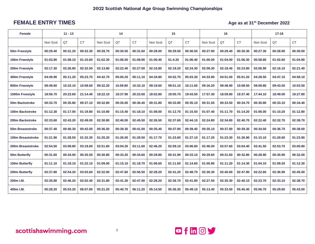### **FEMALE ENTRY TIMES Age as at 31<sup>st</sup> December 2022**

| <b>Female</b>           | $11 - 13$ |          |           | 14       |          | 15        |          | 16       |           |          | $17 - 18$ |           |          |          |           |
|-------------------------|-----------|----------|-----------|----------|----------|-----------|----------|----------|-----------|----------|-----------|-----------|----------|----------|-----------|
|                         | Non Scot  | QT       | <b>CT</b> | Non Scot | QT       | <b>CT</b> | Non Scot | QT       | <b>CT</b> | Non Scot | QT        | <b>CT</b> | Non Scot | QT       | <b>CT</b> |
| 50m Freestyle           | 00:29.40  | 00:31.20 | 00:32.30  | 00:28.70 | 00:30.50 | 00:31.60  | 00:28.00 | 00:29.50 | 00:30.50  | 00:27.90 | 00:29.40  | 00:30.30  | 00:27.30 | 00:28.90 | 00:30.00  |
| 100m Freestyle          | 01:03.90  | 01:08.10 | 01:10.60  | 01:02.30 | 01:06.50 | 01:08.90  | 01:00.40 | 01:4.20  | 01:06.40  | 01:00.00 | 01:04.00  | 01:06.30  | 00:58.80 | 01:02.60 | 01:04.90  |
| 200m Freestyle          | 02:17.30  | 02:26.80 | 02:32.50  | 02:13.80 | 02:22.40 | 02:27.50  | 02:10.80 | 02:19.20 | 02:24.30  | 02:09.30 | 02:18.40  | 02:23.80  | 02:06.90 | 02:16.10 | 02:21.40  |
| 400m Freestyle          | 04:49.90  | 05:11.20 | 05:23.70  | 04:42.70 | 05:00.20 | 05:11.10  | 04:34.80 | 04:52.70 | 05:03.30  | 04:33.90 | 04:51.00  | 05:01.20  | 04:28.50 | 04:47.10 | 04:58.10  |
| 800m Freestyle          | 09:49.60  | 10:33.10 | 10:58.60  | 09:32.20 | 10.09.80 | 10:32.10  | 09:19.60 | 09:51.10 | 10:11.60  | 09:16.20 | 09:48.90  | 10:08.50  | 09:09.80 | 09:43.50 | 10:03.50  |
| 1500m Freestyle         | 18:56.70  | 20:23.60 | 21:14.40  | 18:22.10 | 19:37.90 | 20:22.60  | 18:02.80 | 19:05.70 | 19:43.50  | 17:57.30 | 18:59.80  | 19:37.40  | 17:44.10 | 18:49.00 | 19:27.80  |
| 50m Backstroke          | 00:33.70  | 00:35.80 | 00:37.10  | 00:32.80 | 00:35.00 | 00:36.40  | 00:31.80 | 00:33.90 | 00:35.10  | 00:31.50 | 00:33.50  | 00:34.70  | 00:30.80 | 00:33.10 | 00:34.40  |
| <b>100m Backstroke</b>  | 01:12.30  | 01:17.00 | 01:19.80  | 01:10.80 | 01:15.40 | 01:18.10  | 01:08.00 | 01:12.70 | 01:15.50  | 01:07.40 | 01:11.70  | 01:14.20  | 01:06.00 | 01:10.20 | 01:12.80  |
| 200m Backstroke         | 02:33.60  | 02:43.20 | 02:49.00  | 02:30.80 | 02:40.00 | 02:45.50  | 02:26.50 | 02:37.60 | 02:44.10  | 02:24.80 | 02:34.80  | 02:40.70  | 02:22.40 | 02:32.70 | 02:38.70  |
| <b>50m Breaststroke</b> | 00:37.40  | 00:40.30 | 00:42.00  | 00:36.50 | 00:39.30 | 00:41.00  | 00:35.40 | 00:37.90 | 00:39.40  | 00:35.10 | 00:37.80  | 00:39.30  | 00:34.50 | 00:36.70 | 00:38.00  |
| 100m Breaststroke       | 01:21.90  | 01:28.50 | 01:32.30  | 01:20.20 | 01:26.00 | 01:29.50  | 01:17.70 | 01:23.60 | 01:27.10  | 01:17.20 | 01:23.30  | 01:26.90  | 01:15.10 | 01:20.60 | 01:23.90  |
| 200m Breaststroke       | 02:54.50  | 03:09.80 | 03:18.60  | 02:51.60 | 03:04.20 | 03:11.60  | 02:46.20 | 02:59.10 | 03:06.60  | 02:46.00 | 02:57.60  | 03:04.40  | 02:41.50 | 02:53.70 | 03:00.80  |
| 50m Butterfly           | 00:31.60  | 00:34.00 | 00:35.50  | 00:30.80 | 00:33.20 | 00:34.60  | 00:29.80 | 00:31.90 | 00:33.10  | 00:29.60 | 00:31.60  | 00:32.80  | 00:28.90 | 00:30.90 | 00:32.00  |
| 100m Butterfly          | 01:11.10  | 01:18.10 | 01:22.10  | 01:09.00 | 01:15.10 | 01:18.70  | 01:06.60 | 01:11.60 | 01:14.60  | 01:05.80 | 01:11.20  | 01:14.30  | 01:04.10 | 01:09.20 | 01:12.30  |
| 200m Butterfly          | 02:37.80  | 02:54.20 | 03:03.60  | 02:32.00 | 02:47.60 | 02:56.50  | 02:28.20 | 02:41.20 | 02:48.70  | 02:26.30 | 02:40.00  | 02:47.90  | 02:22.60 | 02:36.90 | 02:45.00  |
| 200m I.M.               | 02:35.80  | 02:46.20 | 02:52.40  | 02:31.80 | 02:41.30 | 02:47.00  | 02:28.20 | 02:36.70 | 02:41.80  | 02:27.50 | 02:35.30  | 02:40.10  | 02:23.70 | 02:33.10 | 02:38.70  |
| 400m I.M.               | 05:28.20  | 05:53.20 | 06:07.80  | 05:21.20 | 05:40.70 | 06:11.20  | 05:14.50 | 05:36.30 | 05:49.10  | 05:13.40 | 05:33.50  | 05:45.40  | 05:06.70 | 05:29.60 | 05:43.00  |

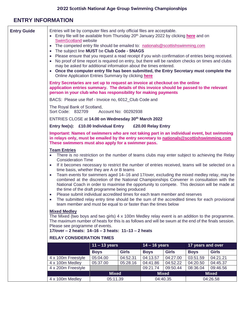# **ENTRY INFORMATION**

| <b>Entry Guide</b> | Entries will be by computer files and only official files are acceptable.<br>• Entry file will be available from Thursday 20 <sup>th</sup> January 2022 by clicking here and on<br><b>SwimScotland website</b><br>• The competed entry file should be emailed to: nationals@scottishswimming.com<br>The subject line MUST be Club Code - SNAGS<br>$\bullet$<br>• Please ensure that you request a read receipt if you wish confirmation of entries being received.<br>• No proof of time report is required on entry, but there will be random checks on times and clubs<br>may be asked for additional information about the times entered.<br>• Once the computer entry file has been submitted, the Entry Secretary must complete the<br>Online Application Entries Summary by clicking here                                                                                                                                                                                                                                                                                                                                                                                                                                                                   |                                                                                                                                                                                                                                             |              |                    |                          |                   |                          |  |  |
|--------------------|-------------------------------------------------------------------------------------------------------------------------------------------------------------------------------------------------------------------------------------------------------------------------------------------------------------------------------------------------------------------------------------------------------------------------------------------------------------------------------------------------------------------------------------------------------------------------------------------------------------------------------------------------------------------------------------------------------------------------------------------------------------------------------------------------------------------------------------------------------------------------------------------------------------------------------------------------------------------------------------------------------------------------------------------------------------------------------------------------------------------------------------------------------------------------------------------------------------------------------------------------------------------|---------------------------------------------------------------------------------------------------------------------------------------------------------------------------------------------------------------------------------------------|--------------|--------------------|--------------------------|-------------------|--------------------------|--|--|
|                    |                                                                                                                                                                                                                                                                                                                                                                                                                                                                                                                                                                                                                                                                                                                                                                                                                                                                                                                                                                                                                                                                                                                                                                                                                                                                   | Entry Secretaries are set up to request an invoice at checkout on the online<br>application entries summary. The details of this invoice should be passed to the relevant<br>person in your club who has responsibility for making payments |              |                    |                          |                   |                          |  |  |
|                    | BACS: Please use Ref - Invoice no, 6012_Club Code and                                                                                                                                                                                                                                                                                                                                                                                                                                                                                                                                                                                                                                                                                                                                                                                                                                                                                                                                                                                                                                                                                                                                                                                                             |                                                                                                                                                                                                                                             |              |                    |                          |                   |                          |  |  |
|                    | The Royal Bank of Scotland,<br>Sort Code: 832709                                                                                                                                                                                                                                                                                                                                                                                                                                                                                                                                                                                                                                                                                                                                                                                                                                                                                                                                                                                                                                                                                                                                                                                                                  | Account No: 00292938                                                                                                                                                                                                                        |              |                    |                          |                   |                          |  |  |
|                    | ENTRIES CLOSE at 14.00 on Wednesday 30th March 2022                                                                                                                                                                                                                                                                                                                                                                                                                                                                                                                                                                                                                                                                                                                                                                                                                                                                                                                                                                                                                                                                                                                                                                                                               |                                                                                                                                                                                                                                             |              |                    |                          |                   |                          |  |  |
|                    | Entry fee(s): £10.00 Individual Entry                                                                                                                                                                                                                                                                                                                                                                                                                                                                                                                                                                                                                                                                                                                                                                                                                                                                                                                                                                                                                                                                                                                                                                                                                             |                                                                                                                                                                                                                                             |              | £20.00 Relay Entry |                          |                   |                          |  |  |
|                    | Important: Names of swimmers who are not taking part in an individual event, but swimming<br>in relays only, must be emailed by the entry secretary to nationals@scottishswimming.com<br>These swimmers must also apply for a swimmer pass.                                                                                                                                                                                                                                                                                                                                                                                                                                                                                                                                                                                                                                                                                                                                                                                                                                                                                                                                                                                                                       |                                                                                                                                                                                                                                             |              |                    |                          |                   |                          |  |  |
|                    | <b>Team Entries</b><br>There is no restriction on the number of teams clubs may enter subject to achieving the Relay<br><b>Consideration Time</b><br>If it becomes necessary to restrict the number of entries received, teams will be selected on a<br>time basis, whether they are A or B teams<br>Team events for swimmers aged 14–16 and 17/over, excluding the mixed medley relay, may be<br>$\bullet$<br>combined at the discretion of the National Championships Convener in consultation with the<br>National Coach in order to maximise the opportunity to compete. This decision will be made at<br>the time of the draft programme being produced<br>Please submit individual accredited times for each team member and reserves<br>$\bullet$<br>The submitted relay entry time should be the sum of the accredited times for each provisional<br>team member and must be equal to or faster than the times below<br><b>Mixed Medley</b><br>The Mixed (two boys and two girls) $4 \times 100$ m Medley relay event is an addition to the programme.<br>The maximum number of heats for this is as follows and will be swum at the end of the finals session.<br>Please see programme of events.<br>17/over - 2 heats: 14-16 - 3 heats: 11-13 - 2 heats |                                                                                                                                                                                                                                             |              |                    |                          |                   |                          |  |  |
|                    | <b>RELAY CONSIDERATION TIMES</b>                                                                                                                                                                                                                                                                                                                                                                                                                                                                                                                                                                                                                                                                                                                                                                                                                                                                                                                                                                                                                                                                                                                                                                                                                                  | $11 - 13$ years                                                                                                                                                                                                                             |              | $14 - 16$ years    |                          | 17 years and over |                          |  |  |
|                    |                                                                                                                                                                                                                                                                                                                                                                                                                                                                                                                                                                                                                                                                                                                                                                                                                                                                                                                                                                                                                                                                                                                                                                                                                                                                   | <b>Boys</b>                                                                                                                                                                                                                                 | <b>Girls</b> | <b>Boys</b>        | <b>Girls</b>             | <b>Boys</b>       | <b>Girls</b>             |  |  |
|                    | 4 x 100m Freestyle                                                                                                                                                                                                                                                                                                                                                                                                                                                                                                                                                                                                                                                                                                                                                                                                                                                                                                                                                                                                                                                                                                                                                                                                                                                | 05:04.00                                                                                                                                                                                                                                    | 04:52.31     | 04:13.57           | 04:27.00                 | 03:51.59          | 04:21.21                 |  |  |
|                    | 4 x 100m Medley                                                                                                                                                                                                                                                                                                                                                                                                                                                                                                                                                                                                                                                                                                                                                                                                                                                                                                                                                                                                                                                                                                                                                                                                                                                   | 05:37.00                                                                                                                                                                                                                                    | 05:28.16     | 04:41.86           | 04:52.22                 | 04:20.50          | 04:45.37                 |  |  |
|                    | 4 x 200m Freestyle                                                                                                                                                                                                                                                                                                                                                                                                                                                                                                                                                                                                                                                                                                                                                                                                                                                                                                                                                                                                                                                                                                                                                                                                                                                |                                                                                                                                                                                                                                             |              | 09:21.74           | 09:50.44                 | 08:36.04          | 09:46.56                 |  |  |
|                    | 4 x 100m Medley                                                                                                                                                                                                                                                                                                                                                                                                                                                                                                                                                                                                                                                                                                                                                                                                                                                                                                                                                                                                                                                                                                                                                                                                                                                   | <b>Mixed</b><br>05:11.39                                                                                                                                                                                                                    |              |                    | <b>Mixed</b><br>04:40.35 |                   | <b>Mixed</b><br>04:26.58 |  |  |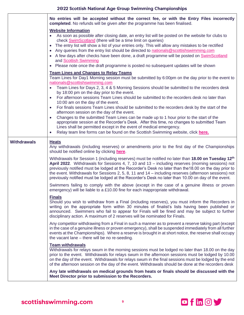|                    | No entries will be accepted without the correct fee, or with the Entry Files incorrectly<br>completed. No refunds will be given after the programme has been finalised.                                                                                                                                                                                                                                                                                                                                                                                                                                                                                                                                                                                                                                                                                                                                                                                                                                                                                                                                                                                                                                                                                                                                                                                                                                                                                                                                                                                                                                                                                                                                                                                                                                                                                                                                                                                                                                                                                                                                                             |
|--------------------|-------------------------------------------------------------------------------------------------------------------------------------------------------------------------------------------------------------------------------------------------------------------------------------------------------------------------------------------------------------------------------------------------------------------------------------------------------------------------------------------------------------------------------------------------------------------------------------------------------------------------------------------------------------------------------------------------------------------------------------------------------------------------------------------------------------------------------------------------------------------------------------------------------------------------------------------------------------------------------------------------------------------------------------------------------------------------------------------------------------------------------------------------------------------------------------------------------------------------------------------------------------------------------------------------------------------------------------------------------------------------------------------------------------------------------------------------------------------------------------------------------------------------------------------------------------------------------------------------------------------------------------------------------------------------------------------------------------------------------------------------------------------------------------------------------------------------------------------------------------------------------------------------------------------------------------------------------------------------------------------------------------------------------------------------------------------------------------------------------------------------------------|
|                    | <b>Website Information</b><br>• As soon as possible after closing date, an entry list will be posted on the website for clubs to<br>check <b>SwimScotland</b> (there will be a time limit on queries)<br>The entry list will show a list of your entries only. This will allow any mistakes to be rectified<br>• Any queries from the entry list should be directed to nationals@scottishswimming.com<br>• A few days after checks have been done, a draft programme will be posted on SwimScotland<br>and Scottish Swimming<br>• Please note once the draft programme is posted no subsequent updates will be shown                                                                                                                                                                                                                                                                                                                                                                                                                                                                                                                                                                                                                                                                                                                                                                                                                                                                                                                                                                                                                                                                                                                                                                                                                                                                                                                                                                                                                                                                                                                |
|                    | <b>Team Lines and Changes to Relay Teams</b><br>Team Lines for Day1 Morning session must be submitted by 6:00pm on the day prior to the event to<br>nationals@scottishswimming.com<br>Team Lines for Days 2, 3, 4 & 5 Morning Sessions should be submitted to the recorders desk<br>by 18:00 pm on the day prior to the event.<br>For afternoon sessions Team Lines should be submitted to the recorders desk no later than<br>10:00 am on the day of the event.<br>For finals sessions Team Lines should be submitted to the recorders desk by the start of the<br>afternoon session on the day of the event.<br>Changes to the submitted Team Lines can be made up to 1 hour prior to the start of the<br>appropriate session at the Recorder's Desk. After this time, no changes to submitted Team<br>Lines shall be permitted except in the event of medical emergency.<br>Relay team line forms can be found on the Scottish Swimming website, click here.                                                                                                                                                                                                                                                                                                                                                                                                                                                                                                                                                                                                                                                                                                                                                                                                                                                                                                                                                                                                                                                                                                                                                                     |
| <b>Withdrawals</b> | <b>Heats</b><br>Any withdrawals (including reserves) or amendments prior to the first day of the Championships<br>should be notified online by clicking here.<br>Withdrawals for Session 1 (including reserves) must be notified no later than 18.00 on Tuesday 12 <sup>th</sup><br>April 2022. Withdrawals for Sessions 4, 7, 10 and 13 – including reserves (morning sessions) not<br>previously notified must be lodged at the Recorder's Desk no later than the 18.00 on the day prior to<br>the event. Withdrawals for Sessions 2, 5, 8, 11 and $14$ – including reserves (afternoon sessions) not<br>previously notified must be lodged at the Recorder's Desk no later than 10.00 on day of the event.<br>Swimmers failing to comply with the above (except in the case of a genuine illness or proven<br>emergency) will be liable to a £10.00 fine for each inappropriate withdrawal.<br><b>Finals</b><br>Should you wish to withdraw from a Final (including reserves), you must inform the Recorders in<br>writing on the appropriate form within 30 minutes of finalist's lists having been published or<br>announced. Swimmers who fail to appear for Finals will be fined and may be subject to further<br>disciplinary action. A maximum of 2 reserves will be nominated for Finals.<br>Any competitor withdrawing from a Final in such a manner as to prevent a reserve taking part (except<br>in the case of a genuine illness or proven emergency), shall be suspended immediately from all further<br>events at the Championships). Where a reserve is brought in at short notice, the reserve shall occupy<br>the vacant lane - there will be no re-seeding.<br><b>Team withdrawals</b><br>Withdrawals for relays swum in the morning sessions must be lodged no later than 18.00 on the day<br>prior to the event. Withdrawals for relays swum in the afternoon sessions must be lodged by 10.00<br>on the day of the event. Withdrawals for relays swum in the final sessions must be lodged by the end<br>of the afternoon session on the day of the event. Withdrawals should be done at the recorders desk |
|                    | Any late withdrawals on medical grounds from heats or finals should be discussed with the<br>Meet Director prior to submission to the Recorders.                                                                                                                                                                                                                                                                                                                                                                                                                                                                                                                                                                                                                                                                                                                                                                                                                                                                                                                                                                                                                                                                                                                                                                                                                                                                                                                                                                                                                                                                                                                                                                                                                                                                                                                                                                                                                                                                                                                                                                                    |

scottishswimming.com

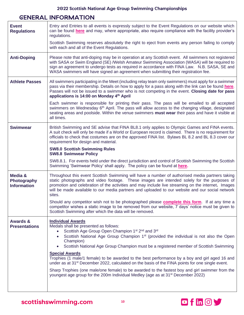# **GENERAL INFORMATION**

| <b>Event</b><br><b>Regulations</b>           | Entry and Entries to all events is expressly subject to the Event Regulations on our website which<br>can be found here and may, where appropriate, also require compliance with the facility provider's<br>regulations.                                                                                                                                                                                                                                                                                                                                                                                                                                                                                                                                                                                                                      |
|----------------------------------------------|-----------------------------------------------------------------------------------------------------------------------------------------------------------------------------------------------------------------------------------------------------------------------------------------------------------------------------------------------------------------------------------------------------------------------------------------------------------------------------------------------------------------------------------------------------------------------------------------------------------------------------------------------------------------------------------------------------------------------------------------------------------------------------------------------------------------------------------------------|
|                                              | Scottish Swimming reserves absolutely the right to eject from events any person failing to comply<br>with each and all of the Event Regulations.                                                                                                                                                                                                                                                                                                                                                                                                                                                                                                                                                                                                                                                                                              |
| <b>Anti-Doping</b>                           | Please note that anti-doping may be in operation at any Scottish event. All swimmers not registered<br>with SASA or Swim England (SE) /Welsh Amateur Swimming Association (WASA) will be required to<br>sign an agreement to undergo tests as required in accordance with FINA Law. N.B. SASA, SE and<br>WASA swimmers will have signed an agreement when submitting their registration fee.                                                                                                                                                                                                                                                                                                                                                                                                                                                  |
| <b>Athlete Passes</b>                        | All swimmers participating in the Meet (including relay team only swimmers) must apply for a swimmer<br>pass via their membership. Details on how to apply for a pass along with the link can be found here.<br>Passes will not be issued to a swimmer who is not competing in the event. Closing date for pass<br>applications is 14:00 on Monday 4th April                                                                                                                                                                                                                                                                                                                                                                                                                                                                                  |
|                                              | Each swimmer is responsible for printing their pass. The pass will be emailed to all accepted<br>swimmers on Wednesday 6 <sup>th</sup> April. The pass will allow access to the changing village, designated<br>seating areas and poolside. Within the venue swimmers must wear their pass and have it visible at<br>all times.                                                                                                                                                                                                                                                                                                                                                                                                                                                                                                               |
| <b>Swimwear</b>                              | British Swimming and SE advise that FINA BL8.1 only applies to Olympic Games and FINA events.<br>A suit check will only be made if a World or European record is claimed. There is no requirement for<br>officials to check that costumes are on the approved FINA list. Bylaws BL 8.2 and BL 8.3 cover our<br>requirement for design and material.                                                                                                                                                                                                                                                                                                                                                                                                                                                                                           |
|                                              | <b>SW8.0 Scottish Swimming Rules</b><br><b>SW8.8 Swimwear Policy</b>                                                                                                                                                                                                                                                                                                                                                                                                                                                                                                                                                                                                                                                                                                                                                                          |
|                                              | SW8.8.1. For events held under the direct jurisdiction and control of Scottish Swimming the Scottish<br>Swimming 'Swimwear Policy' shall apply. The policy can be found at here.                                                                                                                                                                                                                                                                                                                                                                                                                                                                                                                                                                                                                                                              |
| Media &<br>Photography<br><b>Information</b> | Throughout this event Scottish Swimming will have a number of authorised media partners taking<br>static photographs and video footage. These images are intended solely for the purposes of<br>promotion and celebration of the activities and may include live streaming on the internet. Images<br>will be made available to our media partners and uploaded to our website and our social network<br>sites.                                                                                                                                                                                                                                                                                                                                                                                                                               |
|                                              | Should any competitor wish not to be photographed please <b>complete this form</b> . If at any time a<br>competitor wishes a static image to be removed from our website, 7 days' notice must be given to<br>Scottish Swimming after which the data will be removed.                                                                                                                                                                                                                                                                                                                                                                                                                                                                                                                                                                          |
| <b>Awards &amp;</b><br><b>Presentations</b>  | <b>Individual Awards</b><br>Medals shall be presented as follows:<br>Scottish Age Group Open Champion 1 <sup>st</sup> 2 <sup>nd</sup> and 3 <sup>rd</sup><br>Scottish National Age Group Champion 1 <sup>st</sup> (provided the individual is not also the Open<br>$\bullet$<br>Champion)<br>Scottish National Age Group Champion must be a registered member of Scottish Swimming<br>$\bullet$<br><b>Special Awards</b><br>Trophies (1 male/1 female) to be awarded to the best performance by a boy and girl aged 16 and<br>under as at 31 <sup>st</sup> December 2022, calculated on the basis of the FINA points for one single event.<br>Sharp Trophies (one male/one female) to be awarded to the fastest boy and girl swimmer from the<br>youngest age group for the 200m Individual Medley (age as at 31 <sup>st</sup> December 2022) |

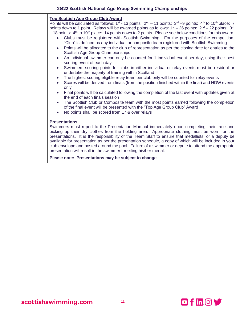| <b>Top Scottish Age Group Club Award</b><br>Points will be calculated as follows: $1^{st}$ - 13 points: $2^{nd}$ – 11 points: $3^{rd}$ –9 points: $4^{th}$ to $10^{th}$ place: 7<br>points down to 1 point. Relays will be awarded points as follows: $1st - 26$ points: $2nd - 22$ points: $3rd$<br>$-18$ points: $4th$ to 10 <sup>th</sup> place: 14 points down to 2 points. Please see below conditions for this award.<br>Clubs must be registered with Scottish Swimming. For the purposes of the competition,<br>$\bullet$<br>"Club" is defined as any individual or composite team registered with Scottish Swimming<br>Points will be allocated to the club of representation as per the closing date for entries to the<br>$\bullet$<br>Scottish Age Group Championships<br>An individual swimmer can only be counted for 1 individual event per day, using their best<br>$\bullet$<br>scoring event of each day<br>Swimmers scoring points for clubs in either individual or relay events must be resident or<br>$\bullet$<br>undertake the majority of training within Scotland<br>The highest scoring eligible relay team per club only will be counted for relay events<br>$\bullet$<br>Scores will be derived from finals (from the position finished within the final) and HDW events<br>only<br>Final points will be calculated following the completion of the last event with updates given at<br>the end of each finals session<br>The Scottish Club or Composite team with the most points earned following the completion<br>of the final event will be presented with the "Top Age Group Club" Award<br>No points shall be scored from 17 & over relays |
|--------------------------------------------------------------------------------------------------------------------------------------------------------------------------------------------------------------------------------------------------------------------------------------------------------------------------------------------------------------------------------------------------------------------------------------------------------------------------------------------------------------------------------------------------------------------------------------------------------------------------------------------------------------------------------------------------------------------------------------------------------------------------------------------------------------------------------------------------------------------------------------------------------------------------------------------------------------------------------------------------------------------------------------------------------------------------------------------------------------------------------------------------------------------------------------------------------------------------------------------------------------------------------------------------------------------------------------------------------------------------------------------------------------------------------------------------------------------------------------------------------------------------------------------------------------------------------------------------------------------------------------------------------------------------------|
| <b>Presentations</b><br>Swimmers must report to the Presentation Marshal immediately upon completing their race and<br>picking up their dry clothes from the holding area. Appropriate clothing must be worn for the<br>presentations. It is the responsibility of the Team Staff to ensure that medallists, or a deputy be<br>available for presentation as per the presentation schedule, a copy of which will be included in your<br>club envelope and posted around the pool. Failure of a swimmer or depute to attend the appropriate<br>presentation will result in the swimmer forfeiting his/her medal.<br>Please note: Presentations may be subject to change                                                                                                                                                                                                                                                                                                                                                                                                                                                                                                                                                                                                                                                                                                                                                                                                                                                                                                                                                                                                         |
|                                                                                                                                                                                                                                                                                                                                                                                                                                                                                                                                                                                                                                                                                                                                                                                                                                                                                                                                                                                                                                                                                                                                                                                                                                                                                                                                                                                                                                                                                                                                                                                                                                                                                |